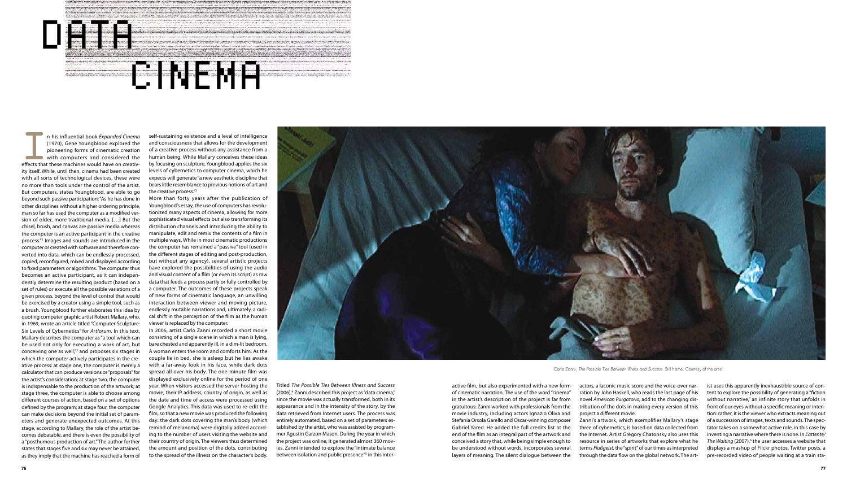## CINEMA

<u> Giorgia de Monte de Maria de la Contra de Maria de La Contra de Maria de </u>

In his influential book *Expanded Cinema* (1970), Gene Youngblood explored the pioneering forms of cinematic creation with computers and considered the effects that these machines would have on creativ-(1970), Gene Youngblood explored the pioneering forms of cinematic creation with computers and considered the effects that these machines would have on creativity itself. While, until then, cinema had been created with all sorts of technological devices, these were no more than tools under the control of the artist. But computers, states Youngblood, are able to go beyond such passive participation: "As he has done in other disciplines without a higher ordering principle, man so far has used the computer as a modified version of older, more traditional media. […] But the chisel, brush, and canvas are passive media whereas the computer is an active participant in the creative process."1 Images and sounds are introduced in the computer or created with software and therefore converted into data, which can be endlessly processed, copied, reconfigured, mixed and displayed according to fixed parameters or algorithms. The computer thus becomes an active participant, as it can independently determine the resulting product (based on a set of rules) or execute all the possible variations of a given process, beyond the level of control that would be exercised by a creator using a simple tool, such as a brush. Youngblood further elaborates this idea by quoting computer graphic artist Robert Mallary, who, in 1969, wrote an article titled "Computer Sculpture: Six Levels of Cybernetics" for Artforum. In this text, Mallary describes the computer as "a tool which can be used not only for executing a work of art, but conceiving one as well, $n^2$  and proposes six stages in which the computer actively participates in the creative process: at stage one, the computer is merely a calculator that can produce versions or "proposals" for the artist's consideration; at stage two, the computer is indispensable to the production of the artwork; at stage three, the computer is able to choose among different courses of action, based on a set of options defined by the program; at stage four, the computer can make decisions beyond the initial set of parameters and generate unexpected outcomes. At this stage, according to Mallary, the role of the artist becomes debatable, and there is even the possibility of a "posthumous production of art." The author further states that stages five and six may never be attained, as they imply that the machine has reached a form of

DATA DATA

self-sustaining existence and a level of intelligence and consciousness that allows for the development of a creative process without any assistance from a human being. While Mallary conceives these ideas by focusing on sculpture, Youngblood applies the six levels of cybernetics to computer cinema, which he expects will generate "a new aesthetic discipline that bears little resemblance to previous notions of art and the creative process. $^{1/3}$ 

More than forty years after the publication of Youngblood's essay, the use of computers has revolutionized many aspects of cinema, allowing for more sophisticated visual effects but also transforming its distribution channels and introducing the ability to manipulate, edit and remix the contents of a film in multiple ways. While in most cinematic productions the computer has remained a "passive" tool (used in the different stages of editing and post-production. but without any agency), several artistic projects have explored the possibilities of using the audio and visual content of a film (or even its script) as raw data that feeds a process partly or fully controlled by a computer. The outcomes of these projects speak of new forms of cinematic language, an unwilling interaction between viewer and moving picture, endlessly mutable narrations and, ultimately, a radical shift in the perception of the film as the human viewer is replaced by the computer.

In 2006, artist Carlo Zanni recorded a short movie consisting of a single scene in which a man is lying, bare chested and apparently ill, in a dim-lit bedroom. A woman enters the room and comforts him. As the couple lie in bed, she is asleep but he lies awake with a far-away look in his face, while dark dots spread all over his body. The one-minute film was displayed exclusively online for the period of one year. When visitors accessed the server hosting the movie, their IP address, country of origin, as well as the date and time of access were processed using Google Analytics. This data was used to re-edit the film, so that a new movie was produced the following day: the dark dots covering the man's body (which remind of melanoma) were digitally added according to the number of users visiting the website and their country of origin. The viewers thus determined the amount and position of the dots, contributing to the spread of the illness on the character's body.



Titled The Possible Ties Between Illness and Success (2006),<sup>4</sup> Zanni described this project as "data cinema," since the movie was actually transformed, both in its appearance and in the intensity of the story, by the data retrieved from Internet users. The process was entirely automated, based on a set of parameters established by the artist, who was assisted by programmer Aqustin Garzon Mason. During the year in which the project was online, it generated almost 360 movies. Zanni intended to explore the "intimate balance between isolation and public presence"<sup>5</sup> in this interactive film, but also experimented with a new form of cinematic narration. The use of the word "cinema" in the artist's description of the project is far from gratuitous: Zanni worked with professionals from the movie industry, including actors Ignazio Oliva and Stefania Orsola Garello and Oscar-winning composer Gabriel Yared. He added the full credits list at the end of the film as an integral part of the artwork and conceived a story that, while being simple enough to be understood without words, incorporates several layers of meaning. The silent dialogue between the actors, a laconic music score and the voice-over narration by John Haskell, who reads the last page of his novel American Purgatorio, add to the changing distribution of the dots in making every version of this project a different movie. Zanni's artwork, which exemplifies Mallary's stage three of cybernetics, is based on data collected from the Internet. Artist Grégory Chatonsky also uses this resource in series of artworks that explore what he terms *Flußgeist*, the "spirit" of our times as interpreted through the data flow on the global network. The art-

ist uses this apparently inexhaustible source of content to explore the possibility of generating a "fiction without narrative," an infinite story that unfolds in front of our eves without a specific meaning or intention: rather, it is the viewer who extracts meaning out of a succession of images, texts and sounds. The spectator takes on a somewhat active role, in this case by inventing a narrative where there is none. In L'attente/ The Waiting (2007),<sup>6</sup> the user accesses a website that displays a mashup of Flickr photos, Twitter posts, a pre-recorded video of people waiting at a train sta-

Carlo Zanni, *The Possible Ties Between Illness and Success*. Still frame. Courtesy of the artist.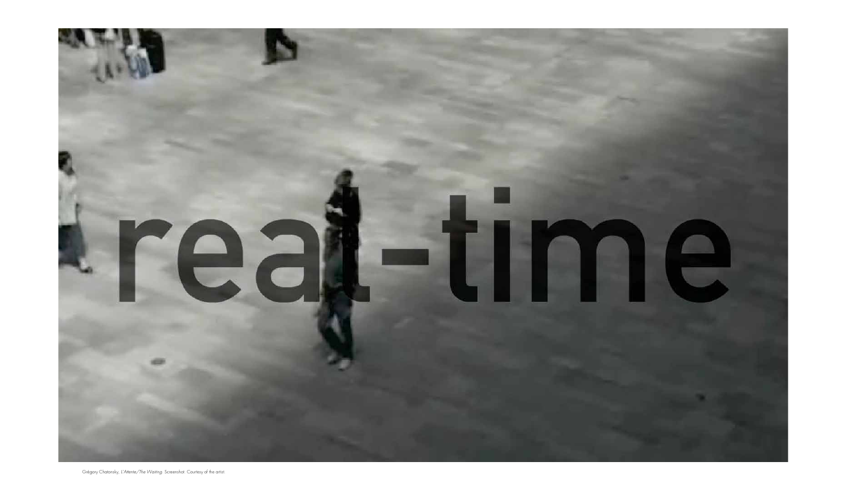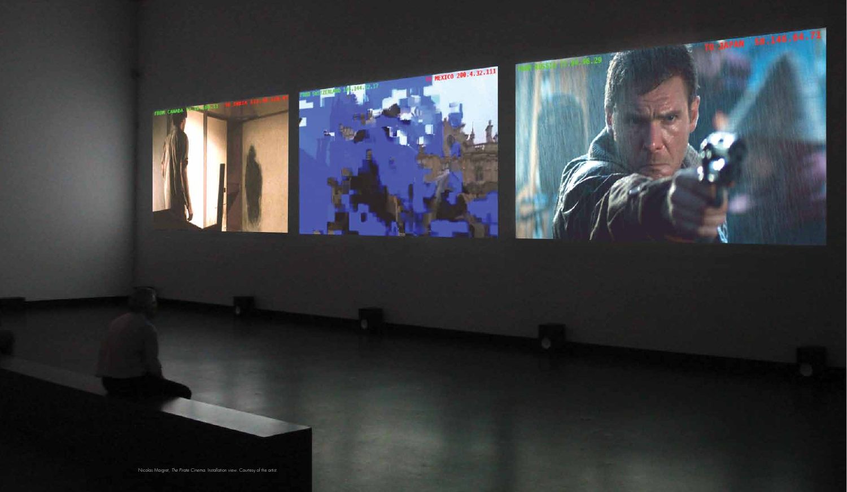



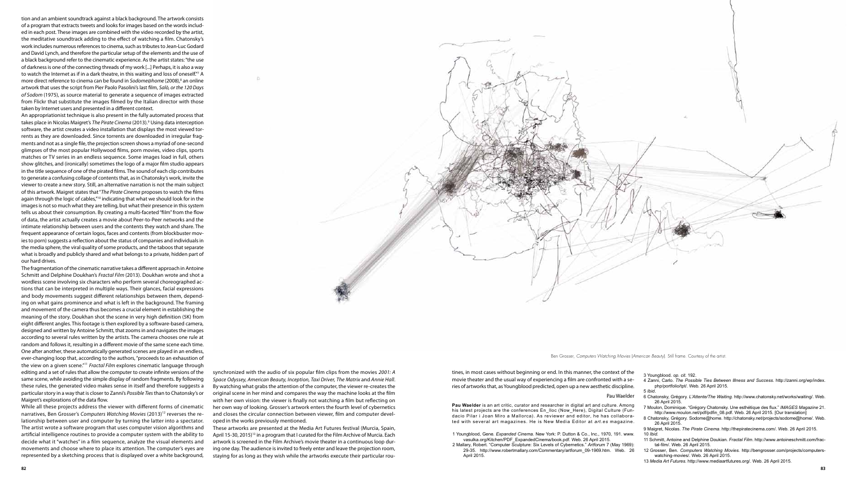tion and an ambient soundtrack against a black background. The artwork consists of a program that extracts tweets and looks for images based on the words included in each post. These images are combined with the video recorded by the artist. the meditative soundtrack adding to the effect of watching a film. Chatonsky's work includes numerous references to cinema, such as tributes to Jean-Luc Godard and David Lynch, and therefore the particular setup of the elements and the use of a black background refer to the cinematic experience. As the artist states: "the use of darkness is one of the connecting threads of my work [...] Perhaps, it is also a way to watch the Internet as if in a dark theatre, in this waiting and loss of oneself."<sup>7</sup> A more direct reference to cinema can be found in *Sodome@home* (2008),8 an online artwork that uses the script from Pier Paolo Pasolini's last film, Salò, or the 120 Days *of Sodom* (1975), as source material to generate a sequence of images extracted from Flickr that substitute the images filmed by the Italian director with those taken by Internet users and presented in a different context.

An appropriationist technique is also present in the fully automated process that takes place in Nicolas Maigret's *The Pirate Cinema* (2013).9 Using data interception software, the artist creates a video installation that displays the most viewed torrents as they are downloaded. Since torrents are downloaded in irregular fragments and not as a single file, the projection screen shows a myriad of one-second glimpses of the most popular Hollywood films, porn movies, video clips, sports matches or TV series in an endless sequence. Some images load in full, others show glitches, and (ironically) sometimes the logo of a major film studio appears in the title sequence of one of the pirated films. The sound of each clip contributes to generate a confusing collage of contents that, as in Chatonsky's work, invite the viewer to create a new story. Still, an alternative narration is not the main subject of this artwork. Maigret states that "The Pirate Cinema proposes to watch the films again through the logic of cables,"<sup>10</sup> indicating that what we should look for in the images is not so much what they are telling, but what their presence in this system tells us about their consumption. By creating a multi-faceted "film" from the flow of data, the artist actually creates a movie about Peer-to-Peer networks and the intimate relationship between users and the contents they watch and share. The frequent appearance of certain logos, faces and contents (from blockbuster movies to porn) suggests a reflection about the status of companies and individuals in the media sphere, the viral quality of some products, and the taboos that separate what is broadly and publicly shared and what belongs to a private, hidden part of our hard drives.

The fragmentation of the cinematic narrative takes a different approach in Antoine 5chmitt and Delphine Doukhan's Fractal Film (2013). Doukhan wrote and shot a wordless scene involving six characters who perform several choreographed actions that can be interpreted in multiple ways. Their glances, facial expressions and body movements suggest different relationships between them, depending on what gains prominence and what is left in the background. The framing and movement of the camera thus becomes a crucial element in establishing the meaning of the story. Doukhan shot the scene in very high definition (5K) from eight different angles. This footage is then explored by a software-based camera, designed and written by Antoine Schmitt, that zooms in and navigates the images according to several rules written by the artists. The camera chooses one rule at random and follows it, resulting in a different movie of the same scene each time. One after another, these automatically generated scenes are played in an endless, ever-changing loop that, according to the authors, "proceeds to an exhaustion of the view on a given scene.<sup>"11</sup> Fractal Film explores cinematic language through editing and a set of rules that allow the computer to create infinite versions of the same scene, while avoiding the simple display of random fragments. By following these rules, the generated video makes sense in itself and therefore suggests a particular story in a way that is closer to Zanni's Possible Ties than to Chatonsky's or Maigret's explorations of the data flow.

While all these projects address the viewer with different forms of cinematic narratives, Ben Grosser's Computers Watching Movies (2013)<sup>12</sup> reverses the relationship between user and computer by turning the latter into a spectator. The artist wrote a software program that uses computer vision algorithms and artificial intelligence routines to provide a computer system with the ability to decide what it "watches" in a film sequence, analyze the visual elements and movements and choose where to place its attention. The computer's eyes are represented by a sketching process that is displayed over a white background,

synchronized with the audio of six popular film clips from the movies 2001: A *Space Odyssey, American Beauty, Inception, Taxi Driver, The Matrix* and *Annie Hall*. By watching what grabs the attention of the computer, the viewer re-creates the original scene in her mind and compares the way the machine looks at the film with her own vision: the viewer is finally not watching a film but reflecting on her own way of looking. Grosser's artwork enters the fourth level of cybernetics and closes the circular connection between viewer, film and computer developed in the works previously mentioned.

These artworks are presented at the Media Art Futures festival (Murcia, Spain, April 15-30, 2015)<sup>13</sup> in a program that I curated for the Film Archive of Murcia. Each artwork is screened in the Film Archive's movie theater in a continuous loop during one day. The audience is invited to freely enter and leave the projection room, staying for as long as they wish while the artworks execute their particular rou8 Chatonsky, Grégory. Sodome@home. http://chatonsky.net/projects/sodome@home/. Web. 26 April 2015.

**Pau Waelder** is an art critic, curator and researcher in digital art and culture. Among his latest projects are the conferences En\_Iloc (Now\_Here), Digital Culture (Fundacio Pilar i Joan Miro a Mallorca). As reviewer and editor, he has collaborated with several art magazines. He is New Media Editor at art.es magazine.

1 Youngblood, Gene. *Expanded Cinema.* New York: P. Dutton & Co., Inc., 1970, 191. www. vasulka.org/Kitchen/PDF ExpandedCinema/book.pdf. Web. 26 April 2015. 2 Mallary, Robert. "Computer Sculpture: Six Levels of Cybernetics." Artforum 7 (May 1969): 29-35. http://www.robertmallary.com/Commentary/artforum\_09-1969.htm. Web. 26 April 2015.



Ben Grosser, *Computers Watching Movies* (*American Beauty*). Still frame. Courtesy of the artist.

## Pau Waelder

tines, in most cases without beginning or end. In this manner, the context of the movie theater and the usual way of experiencing a film are confronted with a series of artworks that, as Youngblood predicted, open up a new aesthetic discipline.

3 Youngblood. *op. cit*. 192.

4 Zanni, Carlo. *The Possible Ties Between Illness and Success.* http://zanni.org/wp/index. php/portfolio/tpt/. Web. 26 April 2015.

5 *Ibid*.

6 Chatonsky, Grégory. *L'Attente/The Waiting.* http://www.chatonsky.net/works/waiting/. Web. 26 April 2015.

7 Moulon, Dominique. "Grégory Chatonsky. Une esthétique des flux." IMAGES Magazine 21. http://www.moulon.net/pdf/pdfin 08.pdf. Web. 26 April 2015. [Our translation]

9 Maigret, Nicolas. *The Pirate Cinema*. http://thepiratecinema.com/. Web. 26 April 2015. 10 *Ibid*.

- 11 Schmitt, Antoine and Delphine Doukian. *Fractal Film*. http://www.antoineschmitt.com/fractal-film/. Web. 26 April 2015.
- 12 Grosser, Ben. *Computers Watching Movies.* http://bengrosser.com/projects/computerswatching-movies/. Web. 26 April 2015.
- 13 *Media Art Futures.* http://www.mediaartfutures.org/. Web. 26 April 2015.